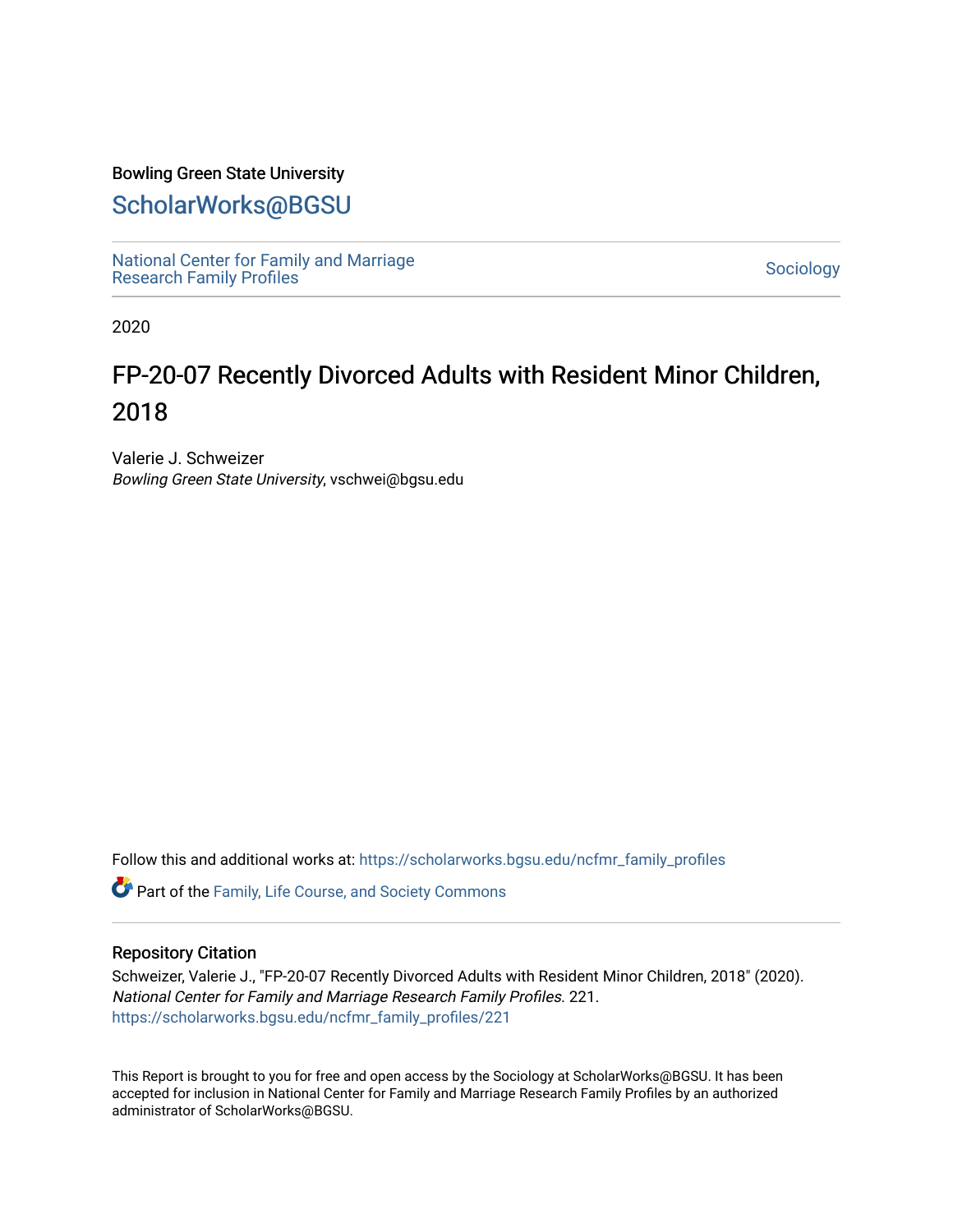### Bowling Green State University

### [ScholarWorks@BGSU](https://scholarworks.bgsu.edu/)

[National Center for Family and Marriage](https://scholarworks.bgsu.edu/ncfmr_family_profiles)  National Center for Family and Marriage<br>[Research Family Profiles](https://scholarworks.bgsu.edu/ncfmr_family_profiles)

2020

## FP-20-07 Recently Divorced Adults with Resident Minor Children, 2018

Valerie J. Schweizer Bowling Green State University, vschwei@bgsu.edu

Follow this and additional works at: [https://scholarworks.bgsu.edu/ncfmr\\_family\\_profiles](https://scholarworks.bgsu.edu/ncfmr_family_profiles?utm_source=scholarworks.bgsu.edu%2Fncfmr_family_profiles%2F221&utm_medium=PDF&utm_campaign=PDFCoverPages)

Part of the [Family, Life Course, and Society Commons](http://network.bepress.com/hgg/discipline/419?utm_source=scholarworks.bgsu.edu%2Fncfmr_family_profiles%2F221&utm_medium=PDF&utm_campaign=PDFCoverPages) 

#### Repository Citation

Schweizer, Valerie J., "FP-20-07 Recently Divorced Adults with Resident Minor Children, 2018" (2020). National Center for Family and Marriage Research Family Profiles. 221. [https://scholarworks.bgsu.edu/ncfmr\\_family\\_profiles/221](https://scholarworks.bgsu.edu/ncfmr_family_profiles/221?utm_source=scholarworks.bgsu.edu%2Fncfmr_family_profiles%2F221&utm_medium=PDF&utm_campaign=PDFCoverPages) 

This Report is brought to you for free and open access by the Sociology at ScholarWorks@BGSU. It has been accepted for inclusion in National Center for Family and Marriage Research Family Profiles by an authorized administrator of ScholarWorks@BGSU.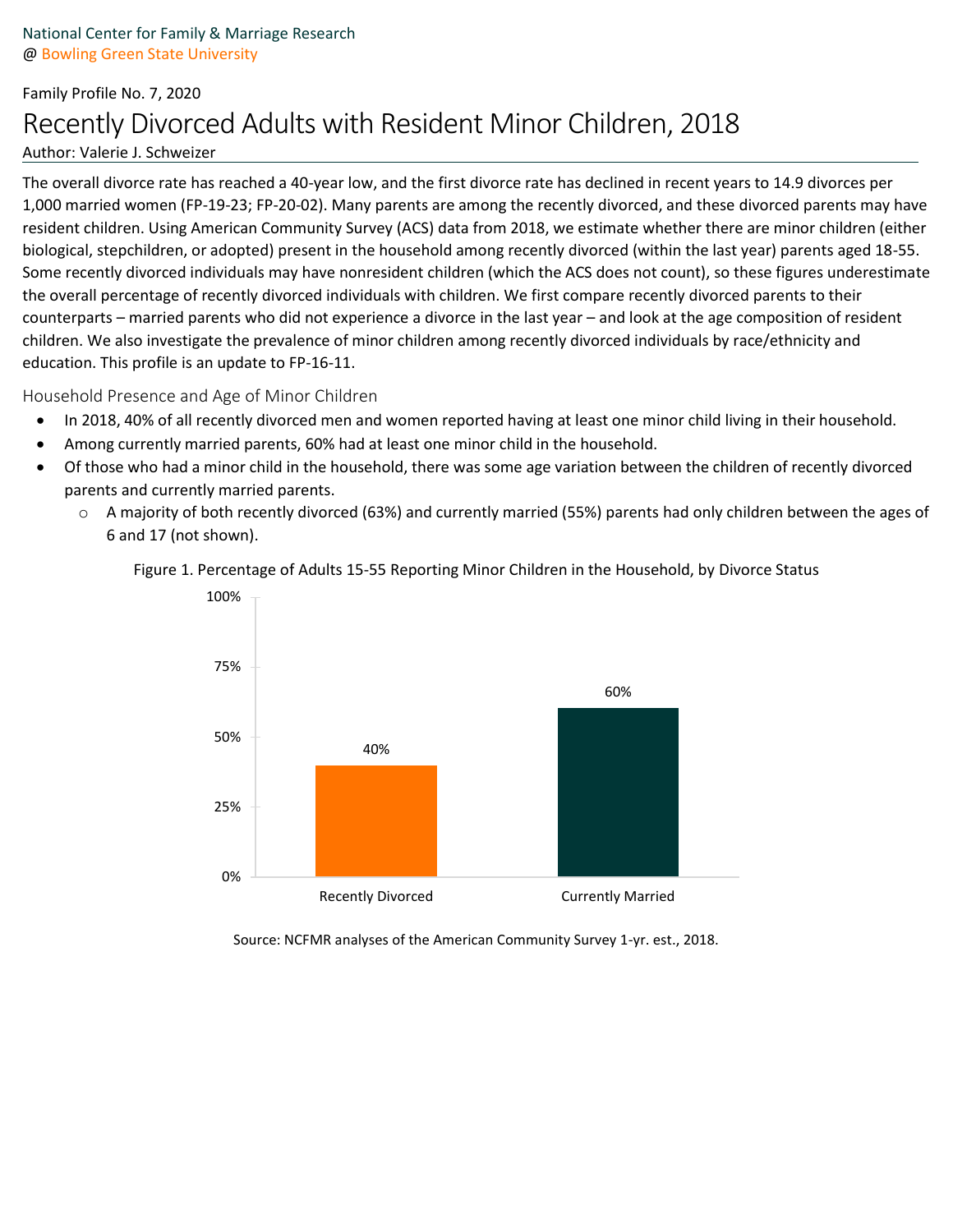# Family Profile No. 7, 2020 Recently Divorced Adults with Resident Minor Children, 2018

#### Author: Valerie J. Schweizer

The overall divorce rate has reached a 40-year low, and the first divorce rate has declined in recent years to 14.9 divorces per 1,000 married women (FP-19-23; FP-20-02). Many parents are among the recently divorced, and these divorced parents may have resident children. Using American Community Survey (ACS) data from 2018, we estimate whether there are minor children (either biological, stepchildren, or adopted) present in the household among recently divorced (within the last year) parents aged 18-55. Some recently divorced individuals may have nonresident children (which the ACS does not count), so these figures underestimate the overall percentage of recently divorced individuals with children. We first compare recently divorced parents to their counterparts – married parents who did not experience a divorce in the last year – and look at the age composition of resident children. We also investigate the prevalence of minor children among recently divorced individuals by race/ethnicity and education. This profile is an update to FP-16-11.

### Household Presence and Age of Minor Children

- In 2018, 40% of all recently divorced men and women reported having at least one minor child living in their household.
- Among currently married parents, 60% had at least one minor child in the household.
- Of those who had a minor child in the household, there was some age variation between the children of recently divorced parents and currently married parents.
	- o A majority of both recently divorced (63%) and currently married (55%) parents had only children between the ages of 6 and 17 (not shown).





Source: NCFMR analyses of the American Community Survey 1-yr. est., 2018.